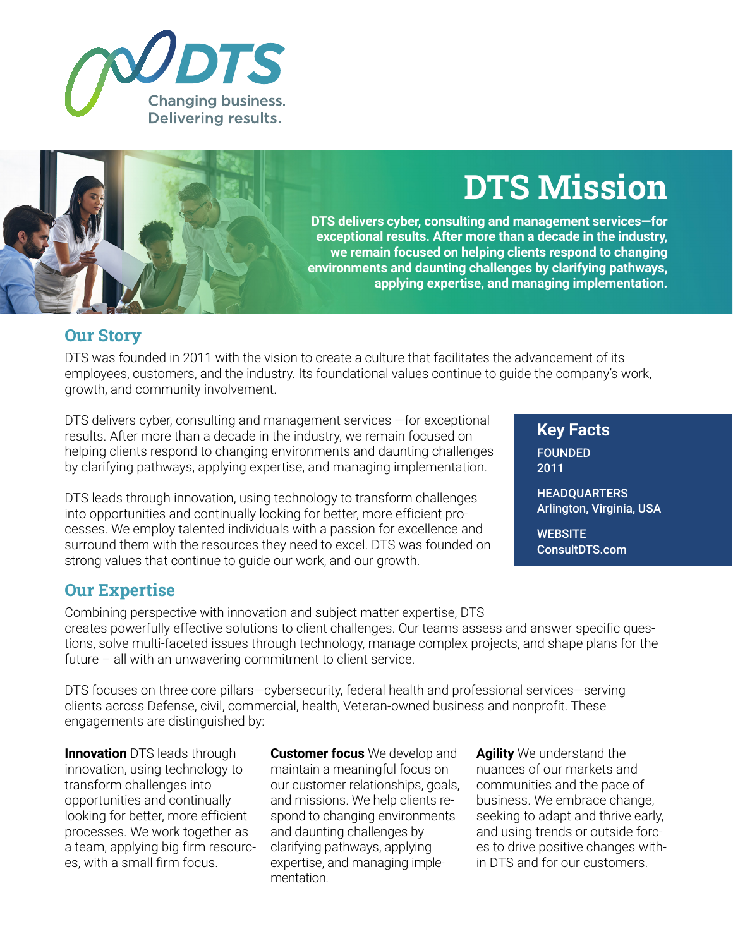



# **DTS Mission**

**DTS delivers cyber, consulting and management services—for exceptional results. After more than a decade in the industry, we remain focused on helping clients respond to changing environments and daunting challenges by clarifying pathways, applying expertise, and managing implementation.**

### **Our Story**

DTS was founded in 2011 with the vision to create a culture that facilitates the advancement of its employees, customers, and the industry. Its foundational values continue to guide the company's work, growth, and community involvement.

DTS delivers cyber, consulting and management services —for exceptional results. After more than a decade in the industry, we remain focused on helping clients respond to changing environments and daunting challenges by clarifying pathways, applying expertise, and managing implementation.

DTS leads through innovation, using technology to transform challenges into opportunities and continually looking for better, more efficient processes. We employ talented individuals with a passion for excellence and surround them with the resources they need to excel. DTS was founded on strong values that continue to guide our work, and our growth.

## **Our Expertise**

Combining perspective with innovation and subject matter expertise, DTS creates powerfully effective solutions to client challenges. Our teams assess and answer specific questions, solve multi-faceted issues through technology, manage complex projects, and shape plans for the future – all with an unwavering commitment to client service.

DTS focuses on three core pillars—cybersecurity, federal health and professional services—serving clients across Defense, civil, commercial, health, Veteran-owned business and nonprofit. These engagements are distinguished by:

**Innovation** DTS leads through innovation, using technology to transform challenges into opportunities and continually looking for better, more efficient processes. We work together as a team, applying big firm resources, with a small firm focus.

**Customer focus** We develop and maintain a meaningful focus on our customer relationships, goals, and missions. We help clients respond to changing environments and daunting challenges by clarifying pathways, applying expertise, and managing implementation.

**Agility** We understand the nuances of our markets and communities and the pace of business. We embrace change, seeking to adapt and thrive early, and using trends or outside forces to drive positive changes within DTS and for our customers.

**Key Facts** FOUNDED 2011

**HEADOUARTERS** Arlington, Virginia, USA

**WEBSITE** ConsultDTS.com